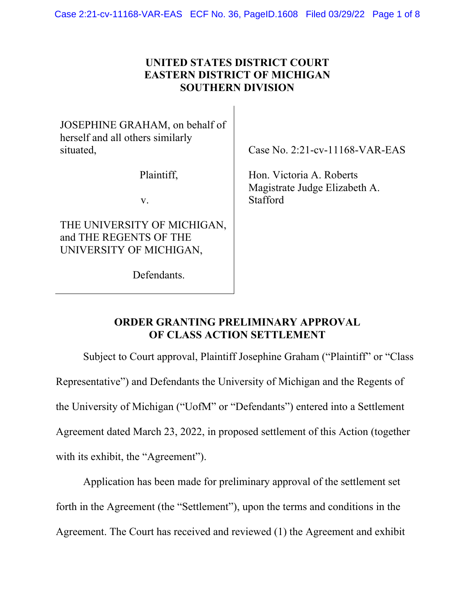## **UNITED STATES DISTRICT COURT EASTERN DISTRICT OF MICHIGAN SOUTHERN DIVISION**

JOSEPHINE GRAHAM, on behalf of herself and all others similarly situated,

Plaintiff,

v.

THE UNIVERSITY OF MICHIGAN, and THE REGENTS OF THE UNIVERSITY OF MICHIGAN,

Defendants.

Case No. 2:21-cv-11168-VAR-EAS

Hon. Victoria A. Roberts Magistrate Judge Elizabeth A. Stafford

## **ORDER GRANTING PRELIMINARY APPROVAL OF CLASS ACTION SETTLEMENT**

Subject to Court approval, Plaintiff Josephine Graham ("Plaintiff" or "Class Representative") and Defendants the University of Michigan and the Regents of the University of Michigan ("UofM" or "Defendants") entered into a Settlement Agreement dated March 23, 2022, in proposed settlement of this Action (together with its exhibit, the "Agreement").

Application has been made for preliminary approval of the settlement set forth in the Agreement (the "Settlement"), upon the terms and conditions in the Agreement. The Court has received and reviewed (1) the Agreement and exhibit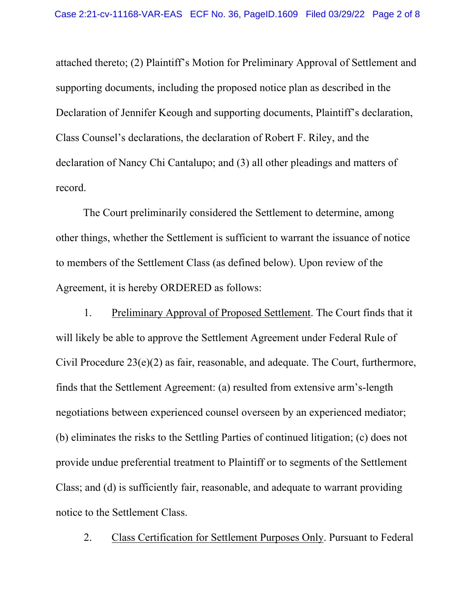attached thereto; (2) Plaintiff's Motion for Preliminary Approval of Settlement and supporting documents, including the proposed notice plan as described in the Declaration of Jennifer Keough and supporting documents, Plaintiff's declaration, Class Counsel's declarations, the declaration of Robert F. Riley, and the declaration of Nancy Chi Cantalupo; and (3) all other pleadings and matters of record.

The Court preliminarily considered the Settlement to determine, among other things, whether the Settlement is sufficient to warrant the issuance of notice to members of the Settlement Class (as defined below). Upon review of the Agreement, it is hereby ORDERED as follows:

1. Preliminary Approval of Proposed Settlement. The Court finds that it will likely be able to approve the Settlement Agreement under Federal Rule of Civil Procedure 23(e)(2) as fair, reasonable, and adequate. The Court, furthermore, finds that the Settlement Agreement: (a) resulted from extensive arm's-length negotiations between experienced counsel overseen by an experienced mediator; (b) eliminates the risks to the Settling Parties of continued litigation; (c) does not provide undue preferential treatment to Plaintiff or to segments of the Settlement Class; and (d) is sufficiently fair, reasonable, and adequate to warrant providing notice to the Settlement Class.

2. Class Certification for Settlement Purposes Only. Pursuant to Federal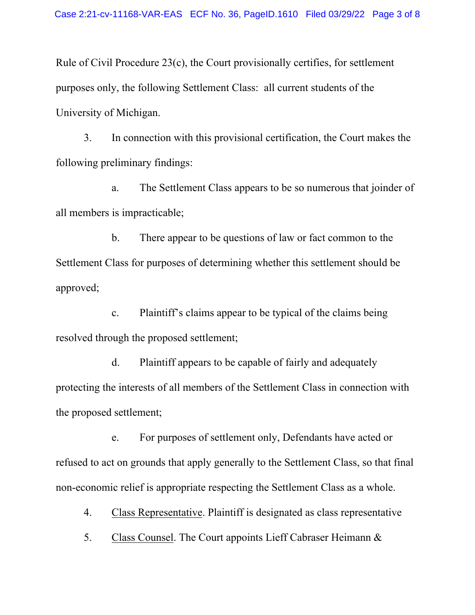Rule of Civil Procedure 23(c), the Court provisionally certifies, for settlement purposes only, the following Settlement Class: all current students of the University of Michigan.

3. In connection with this provisional certification, the Court makes the following preliminary findings:

a. The Settlement Class appears to be so numerous that joinder of all members is impracticable;

b. There appear to be questions of law or fact common to the Settlement Class for purposes of determining whether this settlement should be approved;

c. Plaintiff's claims appear to be typical of the claims being resolved through the proposed settlement;

d. Plaintiff appears to be capable of fairly and adequately protecting the interests of all members of the Settlement Class in connection with the proposed settlement;

e. For purposes of settlement only, Defendants have acted or refused to act on grounds that apply generally to the Settlement Class, so that final non-economic relief is appropriate respecting the Settlement Class as a whole.

4. Class Representative. Plaintiff is designated as class representative

5. Class Counsel. The Court appoints Lieff Cabraser Heimann &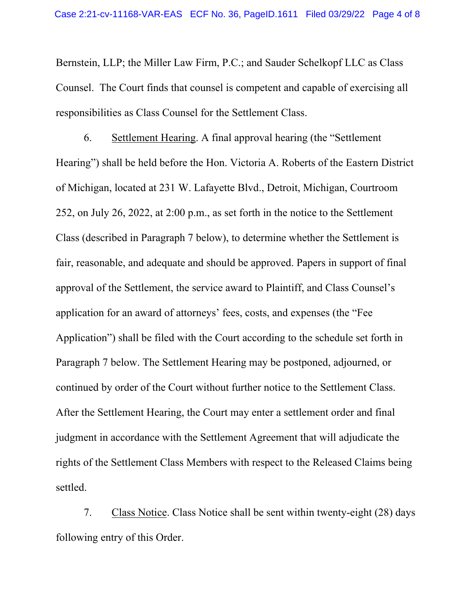Bernstein, LLP; the Miller Law Firm, P.C.; and Sauder Schelkopf LLC as Class Counsel. The Court finds that counsel is competent and capable of exercising all responsibilities as Class Counsel for the Settlement Class.

6. Settlement Hearing. A final approval hearing (the "Settlement Hearing") shall be held before the Hon. Victoria A. Roberts of the Eastern District of Michigan, located at 231 W. Lafayette Blvd., Detroit, Michigan, Courtroom 252, on July 26, 2022, at 2:00 p.m., as set forth in the notice to the Settlement Class (described in Paragraph 7 below), to determine whether the Settlement is fair, reasonable, and adequate and should be approved. Papers in support of final approval of the Settlement, the service award to Plaintiff, and Class Counsel's application for an award of attorneys' fees, costs, and expenses (the "Fee Application") shall be filed with the Court according to the schedule set forth in Paragraph 7 below. The Settlement Hearing may be postponed, adjourned, or continued by order of the Court without further notice to the Settlement Class. After the Settlement Hearing, the Court may enter a settlement order and final judgment in accordance with the Settlement Agreement that will adjudicate the rights of the Settlement Class Members with respect to the Released Claims being settled.

7. Class Notice. Class Notice shall be sent within twenty-eight (28) days following entry of this Order.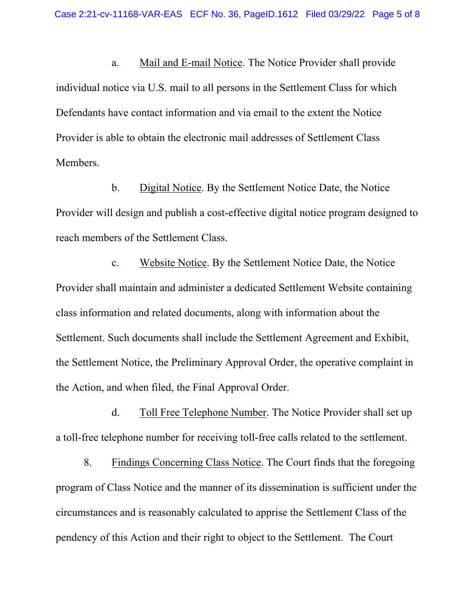a. Mail and E-mail Notice. The Notice Provider shall provide individual notice via U.S. mail to all persons in the Settlement Class for which Defendants have contact information and via email to the extent the Notice Provider is able to obtain the electronic mail addresses of Settlement Class Members.

b. Digital Notice. By the Settlement Notice Date, the Notice Provider will design and publish a cost-effective digital notice program designed to reach members of the Settlement Class.

c. Website Notice. By the Settlement Notice Date, the Notice Provider shall maintain and administer a dedicated Settlement Website containing class information and related documents, along with information about the Settlement. Such documents shall include the Settlement Agreement and Exhibit, the Settlement Notice, the Preliminary Approval Order, the operative complaint in the Action, and when filed, the Final Approval Order.

d. Toll Free Telephone Number. The Notice Provider shall set up a toll-free telephone number for receiving toll-free calls related to the settlement.

8. Findings Concerning Class Notice. The Court finds that the foregoing program of Class Notice and the manner of its dissemination is sufficient under the circumstances and is reasonably calculated to apprise the Settlement Class of the pendency of this Action and their right to object to the Settlement. The Court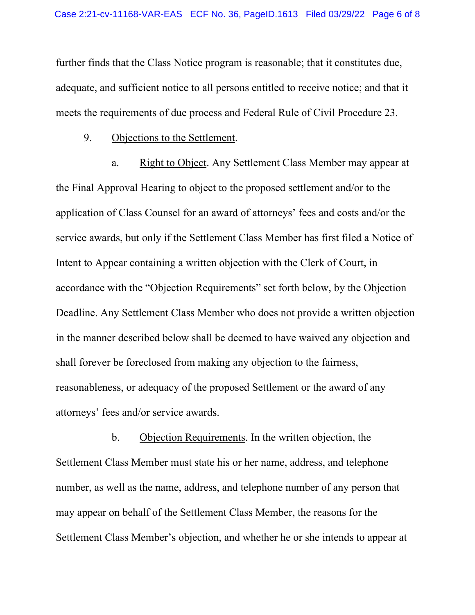further finds that the Class Notice program is reasonable; that it constitutes due, adequate, and sufficient notice to all persons entitled to receive notice; and that it meets the requirements of due process and Federal Rule of Civil Procedure 23.

9. Objections to the Settlement.

a. Right to Object. Any Settlement Class Member may appear at the Final Approval Hearing to object to the proposed settlement and/or to the application of Class Counsel for an award of attorneys' fees and costs and/or the service awards, but only if the Settlement Class Member has first filed a Notice of Intent to Appear containing a written objection with the Clerk of Court, in accordance with the "Objection Requirements" set forth below, by the Objection Deadline. Any Settlement Class Member who does not provide a written objection in the manner described below shall be deemed to have waived any objection and shall forever be foreclosed from making any objection to the fairness, reasonableness, or adequacy of the proposed Settlement or the award of any attorneys' fees and/or service awards.

b. Objection Requirements. In the written objection, the Settlement Class Member must state his or her name, address, and telephone number, as well as the name, address, and telephone number of any person that may appear on behalf of the Settlement Class Member, the reasons for the Settlement Class Member's objection, and whether he or she intends to appear at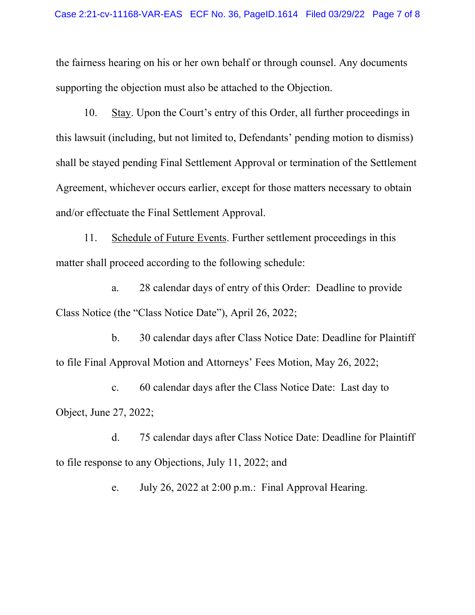the fairness hearing on his or her own behalf or through counsel. Any documents supporting the objection must also be attached to the Objection.

10. Stay. Upon the Court's entry of this Order, all further proceedings in this lawsuit (including, but not limited to, Defendants' pending motion to dismiss) shall be stayed pending Final Settlement Approval or termination of the Settlement Agreement, whichever occurs earlier, except for those matters necessary to obtain and/or effectuate the Final Settlement Approval.

11. Schedule of Future Events. Further settlement proceedings in this matter shall proceed according to the following schedule:

a. 28 calendar days of entry of this Order: Deadline to provide Class Notice (the "Class Notice Date"), April 26, 2022;

b. 30 calendar days after Class Notice Date: Deadline for Plaintiff to file Final Approval Motion and Attorneys' Fees Motion, May 26, 2022;

c. 60 calendar days after the Class Notice Date: Last day to Object, June 27, 2022;

d. 75 calendar days after Class Notice Date: Deadline for Plaintiff to file response to any Objections, July 11, 2022; and

e. July 26, 2022 at 2:00 p.m.: Final Approval Hearing.